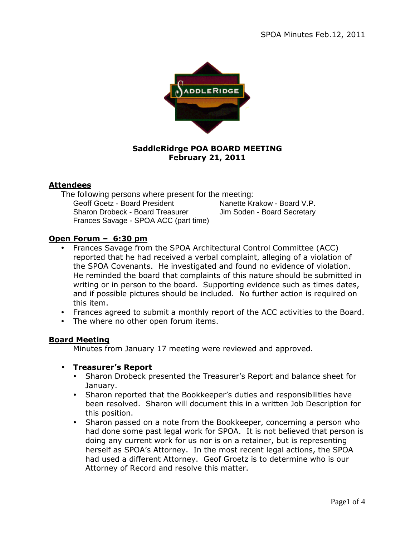

## **SaddleRidrge POA BOARD MEETING February 21, 2011**

## **Attendees**

The following persons where present for the meeting: Geoff Goetz - Board President Nanette Krakow - Board V.P. Sharon Drobeck - Board Treasurer Jim Soden - Board Secretary Frances Savage - SPOA ACC (part time)

# **Open Forum – 6:30 pm**

- Frances Savage from the SPOA Architectural Control Committee (ACC) reported that he had received a verbal complaint, alleging of a violation of the SPOA Covenants. He investigated and found no evidence of violation. He reminded the board that complaints of this nature should be submitted in writing or in person to the board. Supporting evidence such as times dates, and if possible pictures should be included. No further action is required on this item.
- Frances agreed to submit a monthly report of the ACC activities to the Board.
- The where no other open forum items.

## **Board Meeting**

Minutes from January 17 meeting were reviewed and approved.

- **Treasurer's Report** 
	- Sharon Drobeck presented the Treasurer's Report and balance sheet for January.
	- Sharon reported that the Bookkeeper's duties and responsibilities have been resolved. Sharon will document this in a written Job Description for this position.
	- Sharon passed on a note from the Bookkeeper, concerning a person who had done some past legal work for SPOA. It is not believed that person is doing any current work for us nor is on a retainer, but is representing herself as SPOA's Attorney. In the most recent legal actions, the SPOA had used a different Attorney. Geof Groetz is to determine who is our Attorney of Record and resolve this matter.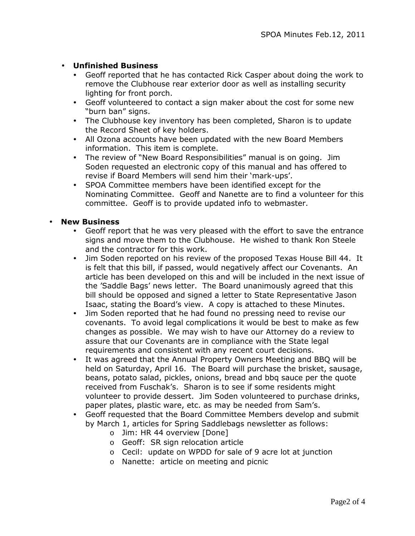## • **Unfinished Business**

- Geoff reported that he has contacted Rick Casper about doing the work to remove the Clubhouse rear exterior door as well as installing security lighting for front porch.
- Geoff volunteered to contact a sign maker about the cost for some new "burn ban" signs.
- The Clubhouse key inventory has been completed, Sharon is to update the Record Sheet of key holders.
- All Ozona accounts have been updated with the new Board Members information. This item is complete.
- The review of "New Board Responsibilities" manual is on going. Jim Soden requested an electronic copy of this manual and has offered to revise if Board Members will send him their 'mark-ups'.
- SPOA Committee members have been identified except for the Nominating Committee. Geoff and Nanette are to find a volunteer for this committee. Geoff is to provide updated info to webmaster.

#### • **New Business**

- Geoff report that he was very pleased with the effort to save the entrance signs and move them to the Clubhouse. He wished to thank Ron Steele and the contractor for this work.
- Jim Soden reported on his review of the proposed Texas House Bill 44. It is felt that this bill, if passed, would negatively affect our Covenants. An article has been developed on this and will be included in the next issue of the 'Saddle Bags' news letter. The Board unanimously agreed that this bill should be opposed and signed a letter to State Representative Jason Isaac, stating the Board's view. A copy is attached to these Minutes.
- Jim Soden reported that he had found no pressing need to revise our covenants. To avoid legal complications it would be best to make as few changes as possible. We may wish to have our Attorney do a review to assure that our Covenants are in compliance with the State legal requirements and consistent with any recent court decisions.
- It was agreed that the Annual Property Owners Meeting and BBQ will be held on Saturday, April 16. The Board will purchase the brisket, sausage, beans, potato salad, pickles, onions, bread and bbq sauce per the quote received from Fuschak's. Sharon is to see if some residents might volunteer to provide dessert. Jim Soden volunteered to purchase drinks, paper plates, plastic ware, etc. as may be needed from Sam's.
- Geoff requested that the Board Committee Members develop and submit by March 1, articles for Spring Saddlebags newsletter as follows:
	- o Jim: HR 44 overview [Done]
	- o Geoff: SR sign relocation article
	- o Cecil: update on WPDD for sale of 9 acre lot at junction
	- o Nanette: article on meeting and picnic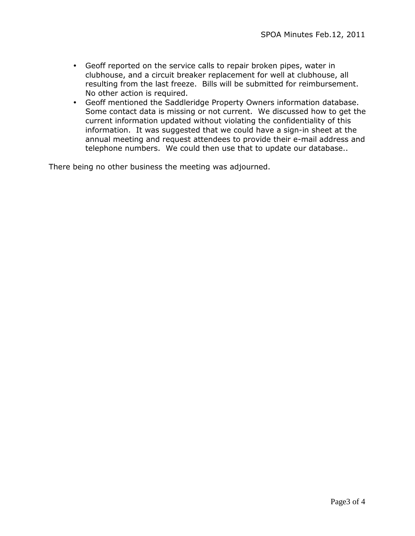- Geoff reported on the service calls to repair broken pipes, water in clubhouse, and a circuit breaker replacement for well at clubhouse, all resulting from the last freeze. Bills will be submitted for reimbursement. No other action is required.
- Geoff mentioned the Saddleridge Property Owners information database. Some contact data is missing or not current. We discussed how to get the current information updated without violating the confidentiality of this information. It was suggested that we could have a sign-in sheet at the annual meeting and request attendees to provide their e-mail address and telephone numbers. We could then use that to update our database..

There being no other business the meeting was adjourned.